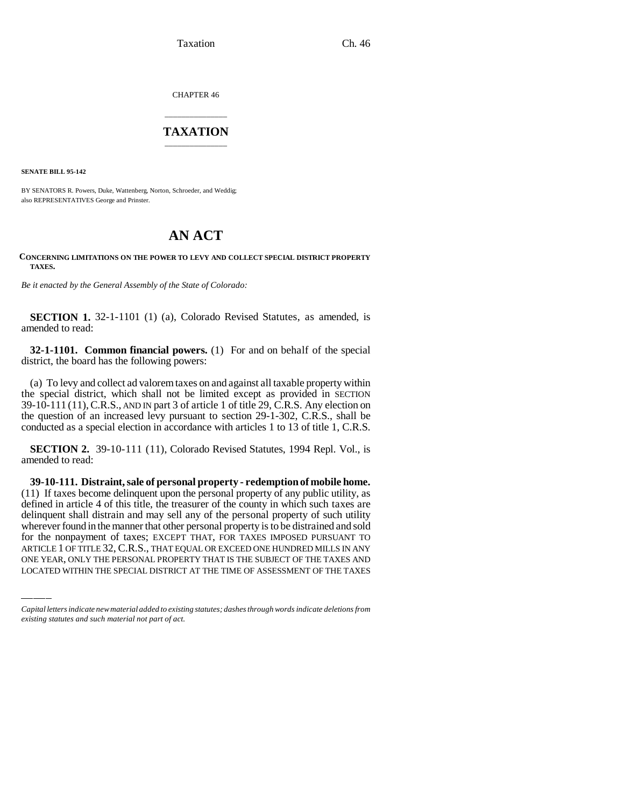Taxation Ch. 46

CHAPTER 46

## \_\_\_\_\_\_\_\_\_\_\_\_\_\_\_ **TAXATION** \_\_\_\_\_\_\_\_\_\_\_\_\_\_\_

**SENATE BILL 95-142**

BY SENATORS R. Powers, Duke, Wattenberg, Norton, Schroeder, and Weddig; also REPRESENTATIVES George and Prinster.

## **AN ACT**

## **CONCERNING LIMITATIONS ON THE POWER TO LEVY AND COLLECT SPECIAL DISTRICT PROPERTY TAXES.**

*Be it enacted by the General Assembly of the State of Colorado:*

**SECTION 1.** 32-1-1101 (1) (a), Colorado Revised Statutes, as amended, is amended to read:

**32-1-1101. Common financial powers.** (1) For and on behalf of the special district, the board has the following powers:

(a) To levy and collect ad valorem taxes on and against all taxable property within the special district, which shall not be limited except as provided in SECTION 39-10-111 (11),C.R.S., AND IN part 3 of article 1 of title 29, C.R.S. Any election on the question of an increased levy pursuant to section 29-1-302, C.R.S., shall be conducted as a special election in accordance with articles 1 to 13 of title 1, C.R.S.

**SECTION 2.** 39-10-111 (11), Colorado Revised Statutes, 1994 Repl. Vol., is amended to read:

wherever found in the manner that other personal property is to be distrained and sold **39-10-111. Distraint, sale of personal property - redemption of mobile home.** (11) If taxes become delinquent upon the personal property of any public utility, as defined in article 4 of this title, the treasurer of the county in which such taxes are delinquent shall distrain and may sell any of the personal property of such utility for the nonpayment of taxes; EXCEPT THAT, FOR TAXES IMPOSED PURSUANT TO ARTICLE 1 OF TITLE 32, C.R.S., THAT EQUAL OR EXCEED ONE HUNDRED MILLS IN ANY ONE YEAR, ONLY THE PERSONAL PROPERTY THAT IS THE SUBJECT OF THE TAXES AND LOCATED WITHIN THE SPECIAL DISTRICT AT THE TIME OF ASSESSMENT OF THE TAXES

*Capital letters indicate new material added to existing statutes; dashes through words indicate deletions from existing statutes and such material not part of act.*